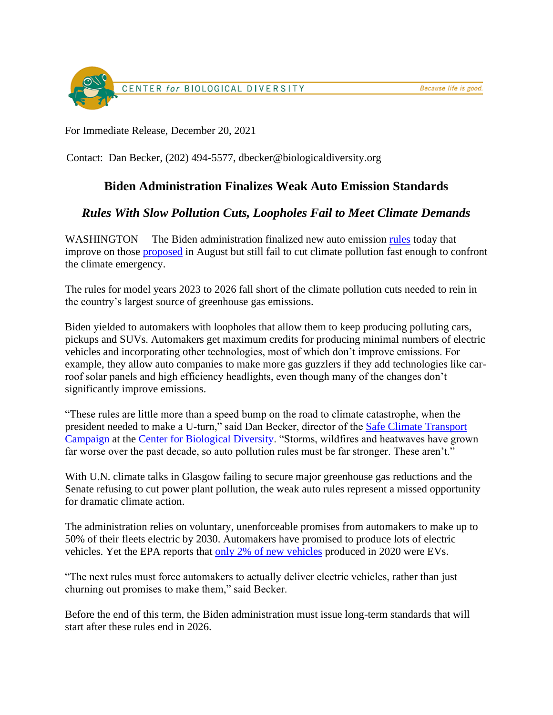

For Immediate Release, December 20, 2021

Contact: Dan Becker, (202) 494-5577, dbecker@biologicaldiversity.org

## **Biden Administration Finalizes Weak Auto Emission Standards**

## *Rules With Slow Pollution Cuts, Loopholes Fail to Meet Climate Demands*

WASHINGTON— The Biden administration finalized new auto emission [rules](https://www.epa.gov/regulations-emissions-vehicles-and-engines/final-rule-revise-existing-national-ghg-emissions) today that improve on those [proposed](https://biologicaldiversity.org/w/news/press-releases/biden-yields-to-automakers-issues-weak-emissions-standards-2021-08-05/) in August but still fail to cut climate pollution fast enough to confront the climate emergency.

The rules for model years 2023 to 2026 fall short of the climate pollution cuts needed to rein in the country's largest source of greenhouse gas emissions.

Biden yielded to automakers with loopholes that allow them to keep producing polluting cars, pickups and SUVs. Automakers get maximum credits for producing minimal numbers of electric vehicles and incorporating other technologies, most of which don't improve emissions. For example, they allow auto companies to make more gas guzzlers if they add technologies like carroof solar panels and high efficiency headlights, even though many of the changes don't significantly improve emissions.

"These rules are little more than a speed bump on the road to climate catastrophe, when the president needed to make a U-turn," said Dan Becker, director of the [Safe Climate Transport](https://safeclimatecampaign.org/)  [Campaign](https://safeclimatecampaign.org/) at the [Center for Biological Diversity.](https://www.biologicaldiversity.org/) "Storms, wildfires and heatwaves have grown far worse over the past decade, so auto pollution rules must be far stronger. These aren't."

With U.N. climate talks in Glasgow failing to secure major greenhouse gas reductions and the Senate refusing to cut power plant pollution, the weak auto rules represent a missed opportunity for dramatic climate action.

The administration relies on voluntary, unenforceable promises from automakers to make up to 50% of their fleets electric by 2030. Automakers have promised to produce lots of electric vehicles. Yet the EPA reports that [only 2% of new vehicles](https://www.epa.gov/system/files/documents/2021-11/420s21002.pdf) produced in 2020 were EVs.

"The next rules must force automakers to actually deliver electric vehicles, rather than just churning out promises to make them," said Becker.

Before the end of this term, the Biden administration must issue long-term standards that will start after these rules end in 2026.